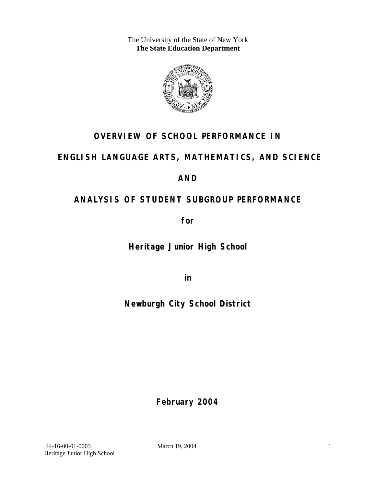The University of the State of New York **The State Education Department** 



# **OVERVIEW OF SCHOOL PERFORMANCE IN**

# **ENGLISH LANGUAGE ARTS, MATHEMATICS, AND SCIENCE**

# **AND**

# **ANALYSIS OF STUDENT SUBGROUP PERFORMANCE**

**for** 

**Heritage Junior High School**

**in** 

**Newburgh City School District**

**February 2004**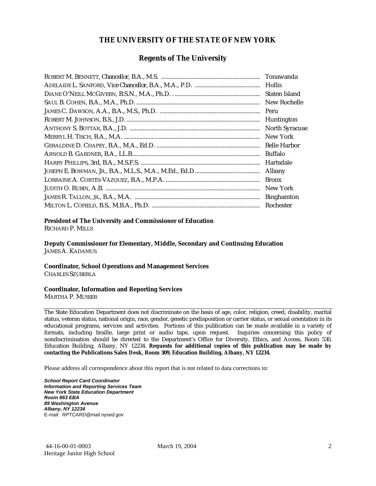### **THE UNIVERSITY OF THE STATE OF NEW YORK**

### **Regents of The University**

| Tonawanda             |
|-----------------------|
| <b>Hollis</b>         |
| Staten Island         |
| New Rochelle          |
| Peru                  |
| Huntington            |
| <b>North Syracuse</b> |
| New York              |
| <b>Belle Harbor</b>   |
| Buffalo               |
| Hartsdale             |
| Albany                |
| <b>Bronx</b>          |
| New York              |
| <b>Binghamton</b>     |
| Rochester             |

#### **President of The University and Commissioner of Education**

RICHARD P. MILLS

**Deputy Commissioner for Elementary, Middle, Secondary and Continuing Education**  JAMES A. KADAMUS

#### **Coordinator, School Operations and Management Services**

CHARLES SZUBERLA

#### **Coordinator, Information and Reporting Services**

MARTHA P. MUSSER

The State Education Department does not discriminate on the basis of age, color, religion, creed, disability, marital status, veteran status, national origin, race, gender, genetic predisposition or carrier status, or sexual orientation in its educational programs, services and activities. Portions of this publication can be made available in a variety of formats, including braille, large print or audio tape, upon request. Inquiries concerning this policy of nondiscrimination should be directed to the Department's Office for Diversity, Ethics, and Access, Room 530, Education Building, Albany, NY 12234. **Requests for additional copies of this publication may be made by contacting the Publications Sales Desk, Room 309, Education Building, Albany, NY 12234.** 

Please address all correspondence about this report that is not related to data corrections to:

*School Report Card Coordinator Information and Reporting Services Team New York State Education Department Room 863 EBA 89 Washington Avenue Albany, NY 12234*  E-mail: *RPTCARD@mail.nysed.gov*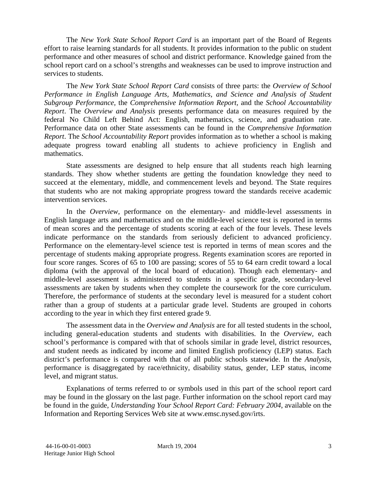The *New York State School Report Card* is an important part of the Board of Regents effort to raise learning standards for all students. It provides information to the public on student performance and other measures of school and district performance. Knowledge gained from the school report card on a school's strengths and weaknesses can be used to improve instruction and services to students.

The *New York State School Report Card* consists of three parts: the *Overview of School Performance in English Language Arts, Mathematics, and Science and Analysis of Student Subgroup Performance,* the *Comprehensive Information Report,* and the *School Accountability Report*. The *Overview and Analysis* presents performance data on measures required by the federal No Child Left Behind Act: English, mathematics, science, and graduation rate. Performance data on other State assessments can be found in the *Comprehensive Information Report*. The *School Accountability Report* provides information as to whether a school is making adequate progress toward enabling all students to achieve proficiency in English and mathematics.

State assessments are designed to help ensure that all students reach high learning standards. They show whether students are getting the foundation knowledge they need to succeed at the elementary, middle, and commencement levels and beyond. The State requires that students who are not making appropriate progress toward the standards receive academic intervention services.

In the *Overview*, performance on the elementary- and middle-level assessments in English language arts and mathematics and on the middle-level science test is reported in terms of mean scores and the percentage of students scoring at each of the four levels. These levels indicate performance on the standards from seriously deficient to advanced proficiency. Performance on the elementary-level science test is reported in terms of mean scores and the percentage of students making appropriate progress. Regents examination scores are reported in four score ranges. Scores of 65 to 100 are passing; scores of 55 to 64 earn credit toward a local diploma (with the approval of the local board of education). Though each elementary- and middle-level assessment is administered to students in a specific grade, secondary-level assessments are taken by students when they complete the coursework for the core curriculum. Therefore, the performance of students at the secondary level is measured for a student cohort rather than a group of students at a particular grade level. Students are grouped in cohorts according to the year in which they first entered grade 9.

The assessment data in the *Overview and Analysis* are for all tested students in the school, including general-education students and students with disabilities. In the *Overview*, each school's performance is compared with that of schools similar in grade level, district resources, and student needs as indicated by income and limited English proficiency (LEP) status. Each district's performance is compared with that of all public schools statewide. In the *Analysis*, performance is disaggregated by race/ethnicity, disability status, gender, LEP status, income level, and migrant status.

Explanations of terms referred to or symbols used in this part of the school report card may be found in the glossary on the last page. Further information on the school report card may be found in the guide, *Understanding Your School Report Card: February 2004*, available on the Information and Reporting Services Web site at www.emsc.nysed.gov/irts.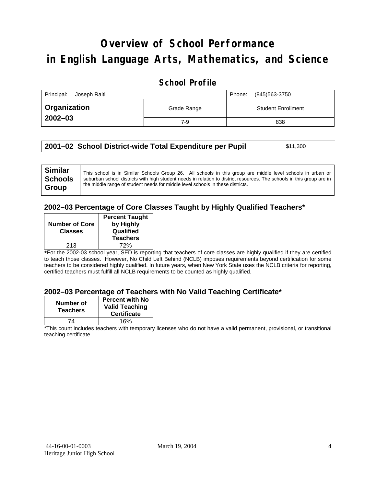# **Overview of School Performance in English Language Arts, Mathematics, and Science**

### **School Profile**

| Principal:<br>Joseph Raiti |             | (845)563-3750<br>Phone:   |
|----------------------------|-------------|---------------------------|
| <b>Organization</b>        | Grade Range | <b>Student Enrollment</b> |
| $2002 - 03$                | 7-9         | 838                       |

|  | 2001–02 School District-wide Total Expenditure per Pupil | \$11,300 |
|--|----------------------------------------------------------|----------|
|--|----------------------------------------------------------|----------|

| <b>Similar</b> | This school is in Similar Schools Group 26. All schools in this group are middle level schools in urban or            |
|----------------|-----------------------------------------------------------------------------------------------------------------------|
| <b>Schools</b> | suburban school districts with high student needs in relation to district resources. The schools in this group are in |
| <b>Group</b>   | the middle range of student needs for middle level schools in these districts.                                        |
|                |                                                                                                                       |

### **2002–03 Percentage of Core Classes Taught by Highly Qualified Teachers\***

| <b>Percent Taught</b> |
|-----------------------|
| by Highly             |
| Qualified             |
| <b>Teachers</b>       |
| 72%                   |
|                       |

\*For the 2002-03 school year, SED is reporting that teachers of core classes are highly qualified if they are certified to teach those classes. However, No Child Left Behind (NCLB) imposes requirements beyond certification for some teachers to be considered highly qualified. In future years, when New York State uses the NCLB criteria for reporting, certified teachers must fulfill all NCLB requirements to be counted as highly qualified.

#### **2002–03 Percentage of Teachers with No Valid Teaching Certificate\***

| Number of<br><b>Teachers</b> | <b>Percent with No</b><br><b>Valid Teaching</b><br><b>Certificate</b> |
|------------------------------|-----------------------------------------------------------------------|
| 74                           | 16%                                                                   |

\*This count includes teachers with temporary licenses who do not have a valid permanent, provisional, or transitional teaching certificate.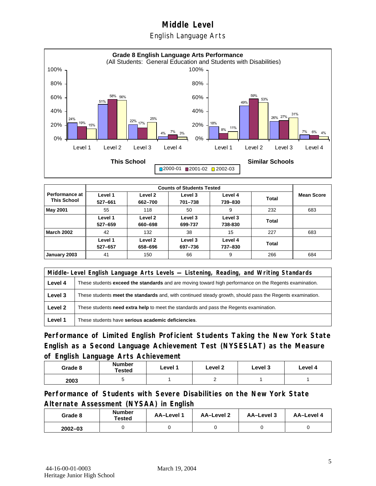### English Language Arts



| <b>Performance at</b><br><b>This School</b> | Level 1<br>527-661 | Level 2<br>662-700 | Level 3<br>701-738 | Level 4<br>739-830 | Total | <b>Mean Score</b> |
|---------------------------------------------|--------------------|--------------------|--------------------|--------------------|-------|-------------------|
| May 2001                                    | 55                 | 118                | 50                 | 9                  | 232   | 683               |
|                                             | Level 1<br>527-659 | Level 2<br>660-698 | Level 3<br>699-737 | Level 3<br>738-830 | Total |                   |
| <b>March 2002</b>                           | 42                 | 132                | 38                 | 15                 | 227   | 683               |
|                                             | Level 1<br>527-657 | Level 2<br>658-696 | Level 3<br>697-736 | Level 4<br>737-830 | Total |                   |
| January 2003                                | 41                 | 150                | 66                 | 9                  | 266   | 684               |

|         | Middle-Level English Language Arts Levels — Listening, Reading, and Writing Standards                         |  |  |
|---------|---------------------------------------------------------------------------------------------------------------|--|--|
| Level 4 | These students <b>exceed the standards</b> and are moving toward high performance on the Regents examination. |  |  |
| Level 3 | These students meet the standards and, with continued steady growth, should pass the Regents examination.     |  |  |
| Level 2 | These students need extra help to meet the standards and pass the Regents examination.                        |  |  |
| Level 1 | These students have serious academic deficiencies.                                                            |  |  |

**Performance of Limited English Proficient Students Taking the New York State English as a Second Language Achievement Test (NYSESLAT) as the Measure of English Language Arts Achievement**

| Grade 8 | <b>Number</b><br>Tested | Level 1 | Level 2 | Level 3 | Level 4 |
|---------|-------------------------|---------|---------|---------|---------|
| 2003    |                         |         |         |         |         |

**Performance of Students with Severe Disabilities on the New York State Alternate Assessment (NYSAA) in English** 

| Grade 8     | Number<br>Tested | AA-Level 1 | AA-Level 2 | AA-Level 3 | AA-Level 4 |
|-------------|------------------|------------|------------|------------|------------|
| $2002 - 03$ |                  |            |            |            |            |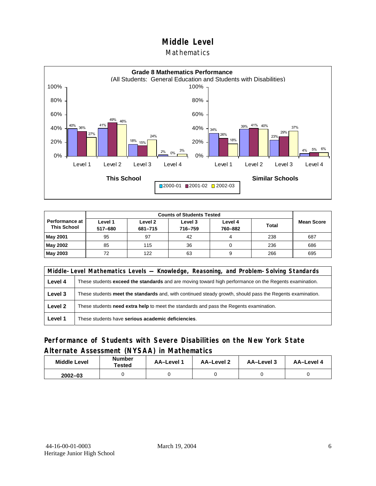### Mathematics



|                                             |                    | <b>Counts of Students Tested</b> |                    |                    |              |                   |
|---------------------------------------------|--------------------|----------------------------------|--------------------|--------------------|--------------|-------------------|
| <b>Performance at</b><br><b>This School</b> | Level 1<br>517-680 | Level 2<br>681-715               | Level 3<br>716-759 | Level 4<br>760-882 | <b>Total</b> | <b>Mean Score</b> |
| <b>May 2001</b>                             | 95                 | 97                               | 42                 | 4                  | 238          | 687               |
| May 2002                                    | 85                 | 115                              | 36                 |                    | 236          | 686               |
| May 2003                                    | 72                 | 122                              | 63                 |                    | 266          | 695               |

|         | Middle-Level Mathematics Levels — Knowledge, Reasoning, and Problem-Solving Standards                         |  |  |
|---------|---------------------------------------------------------------------------------------------------------------|--|--|
| Level 4 | These students <b>exceed the standards</b> and are moving toward high performance on the Regents examination. |  |  |
| Level 3 | These students meet the standards and, with continued steady growth, should pass the Regents examination.     |  |  |
| Level 2 | These students <b>need extra help</b> to meet the standards and pass the Regents examination.                 |  |  |
| Level 1 | These students have serious academic deficiencies.                                                            |  |  |

### **Performance of Students with Severe Disabilities on the New York State Alternate Assessment (NYSAA) in Mathematics**

| <b>Middle Level</b> | <b>Number</b><br>Tested | AA-Level | AA-Level 2 | AA-Level 3 | AA-Level 4 |  |
|---------------------|-------------------------|----------|------------|------------|------------|--|
| $2002 - 03$         |                         |          |            |            |            |  |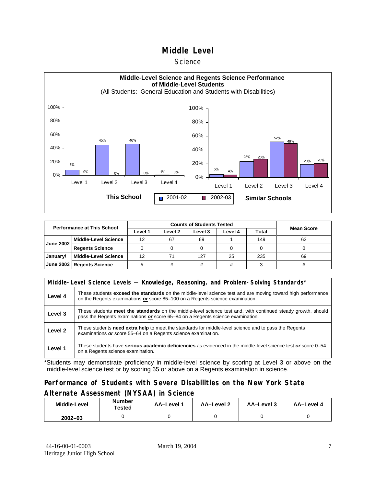#### **Science**



| <b>Performance at This School</b> |                             |         | <b>Counts of Students Tested</b> |         | <b>Mean Score</b> |       |    |
|-----------------------------------|-----------------------------|---------|----------------------------------|---------|-------------------|-------|----|
|                                   |                             | Level 1 | Level 2                          | Level 3 | Level 4           | Total |    |
| <b>June 2002</b>                  | <b>Middle-Level Science</b> | 12      | 67                               | 69      |                   | 149   | 63 |
|                                   | <b>Regents Science</b>      |         |                                  |         |                   |       |    |
| January/                          | <b>Middle-Level Science</b> | 12      |                                  | 127     | 25                | 235   | 69 |
|                                   | June 2003   Regents Science |         |                                  |         | #                 |       |    |

|         | Middle-Level Science Levels - Knowledge, Reasoning, and Problem-Solving Standards*                                                                                                             |  |  |  |  |  |  |  |  |
|---------|------------------------------------------------------------------------------------------------------------------------------------------------------------------------------------------------|--|--|--|--|--|--|--|--|
| Level 4 | These students exceed the standards on the middle-level science test and are moving toward high performance<br>on the Regents examinations or score 85–100 on a Regents science examination.   |  |  |  |  |  |  |  |  |
| Level 3 | These students meet the standards on the middle-level science test and, with continued steady growth, should<br>pass the Regents examinations or score 65–84 on a Regents science examination. |  |  |  |  |  |  |  |  |
| Level 2 | These students <b>need extra help</b> to meet the standards for middle-level science and to pass the Regents<br>examinations or score 55-64 on a Regents science examination.                  |  |  |  |  |  |  |  |  |
| Level 1 | These students have serious academic deficiencies as evidenced in the middle-level science test or score 0–54<br>on a Regents science examination.                                             |  |  |  |  |  |  |  |  |

\*Students may demonstrate proficiency in middle-level science by scoring at Level 3 or above on the middle-level science test or by scoring 65 or above on a Regents examination in science.

### **Performance of Students with Severe Disabilities on the New York State Alternate Assessment (NYSAA) in Science**

| Middle-Level | <b>Number</b><br>Tested | AA-Level 1 | AA-Level 2 | AA-Level 3 | AA-Level 4 |  |
|--------------|-------------------------|------------|------------|------------|------------|--|
| $2002 - 03$  |                         |            |            |            |            |  |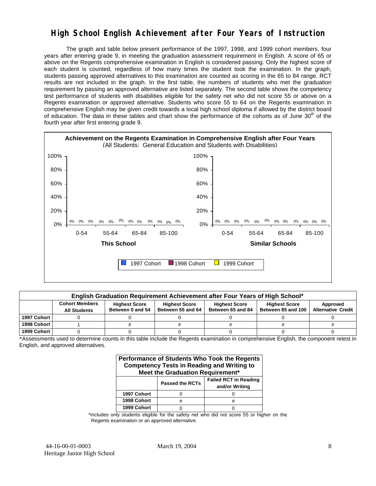# **High School English Achievement after Four Years of Instruction**

The graph and table below present performance of the 1997, 1998, and 1999 cohort members, four years after entering grade 9, in meeting the graduation assessment requirement in English. A score of 65 or above on the Regents comprehensive examination in English is considered passing. Only the highest score of each student is counted, regardless of how many times the student took the examination. In the graph, students passing approved alternatives to this examination are counted as scoring in the 65 to 84 range. RCT results are not included in the graph. In the first table, the numbers of students who met the graduation requirement by passing an approved alternative are listed separately. The second table shows the competency test performance of students with disabilities eligible for the safety net who did not score 55 or above on a Regents examination or approved alternative. Students who score 55 to 64 on the Regents examination in comprehensive English may be given credit towards a local high school diploma if allowed by the district board of education. The data in these tables and chart show the performance of the cohorts as of June  $30<sup>th</sup>$  of the fourth year after first entering grade 9.



| English Graduation Requirement Achievement after Four Years of High School* |                                                                                                                                                                                                                                                                           |  |  |  |  |  |  |  |  |  |  |
|-----------------------------------------------------------------------------|---------------------------------------------------------------------------------------------------------------------------------------------------------------------------------------------------------------------------------------------------------------------------|--|--|--|--|--|--|--|--|--|--|
|                                                                             | <b>Cohort Members</b><br><b>Highest Score</b><br><b>Highest Score</b><br><b>Highest Score</b><br><b>Highest Score</b><br>Approved<br>Between 55 and 64<br><b>Alternative Credit</b><br>Between 0 and 54<br>Between 65 and 84<br>Between 85 and 100<br><b>All Students</b> |  |  |  |  |  |  |  |  |  |  |
| 1997 Cohort                                                                 |                                                                                                                                                                                                                                                                           |  |  |  |  |  |  |  |  |  |  |
| 1998 Cohort                                                                 |                                                                                                                                                                                                                                                                           |  |  |  |  |  |  |  |  |  |  |
| 1999 Cohort                                                                 |                                                                                                                                                                                                                                                                           |  |  |  |  |  |  |  |  |  |  |

\*Assessments used to determine counts in this table include the Regents examination in comprehensive English, the component retest in English, and approved alternatives.

| Performance of Students Who Took the Regents<br><b>Competency Tests in Reading and Writing to</b><br>Meet the Graduation Requirement* |   |  |  |  |  |  |  |  |  |
|---------------------------------------------------------------------------------------------------------------------------------------|---|--|--|--|--|--|--|--|--|
| <b>Failed RCT in Reading</b><br><b>Passed the RCTs</b><br>and/or Writing                                                              |   |  |  |  |  |  |  |  |  |
| 1997 Cohort                                                                                                                           |   |  |  |  |  |  |  |  |  |
| 1998 Cohort                                                                                                                           | # |  |  |  |  |  |  |  |  |
| 1999 Cohort                                                                                                                           |   |  |  |  |  |  |  |  |  |

\*Includes only students eligible for the safety net who did not score 55 or higher on the Regents examination or an approved alternative.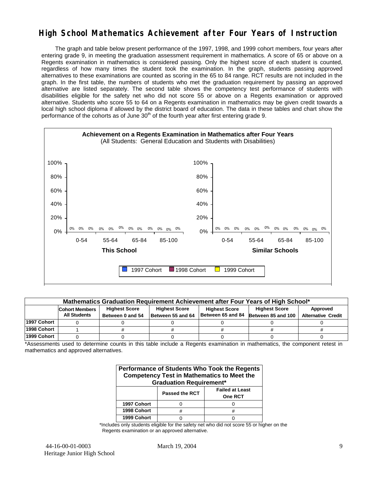# **High School Mathematics Achievement after Four Years of Instruction**

The graph and table below present performance of the 1997, 1998, and 1999 cohort members, four years after entering grade 9, in meeting the graduation assessment requirement in mathematics. A score of 65 or above on a Regents examination in mathematics is considered passing. Only the highest score of each student is counted, regardless of how many times the student took the examination. In the graph, students passing approved alternatives to these examinations are counted as scoring in the 65 to 84 range. RCT results are not included in the graph. In the first table, the numbers of students who met the graduation requirement by passing an approved alternative are listed separately. The second table shows the competency test performance of students with disabilities eligible for the safety net who did not score 55 or above on a Regents examination or approved alternative. Students who score 55 to 64 on a Regents examination in mathematics may be given credit towards a local high school diploma if allowed by the district board of education. The data in these tables and chart show the performance of the cohorts as of June  $30<sup>th</sup>$  of the fourth year after first entering grade 9.



| Mathematics Graduation Requirement Achievement after Four Years of High School* |                                                                                                                                   |                  |                   |                   |                    |                           |  |  |  |  |  |
|---------------------------------------------------------------------------------|-----------------------------------------------------------------------------------------------------------------------------------|------------------|-------------------|-------------------|--------------------|---------------------------|--|--|--|--|--|
|                                                                                 | <b>Highest Score</b><br><b>Highest Score</b><br><b>Highest Score</b><br>Approved<br><b>Cohort Members</b><br><b>Highest Score</b> |                  |                   |                   |                    |                           |  |  |  |  |  |
|                                                                                 | <b>All Students</b>                                                                                                               | Between 0 and 54 | Between 55 and 64 | Between 65 and 84 | Between 85 and 100 | <b>Alternative Credit</b> |  |  |  |  |  |
| 1997 Cohort                                                                     |                                                                                                                                   |                  |                   |                   |                    |                           |  |  |  |  |  |
| 1998 Cohort                                                                     |                                                                                                                                   |                  |                   |                   |                    |                           |  |  |  |  |  |
| 1999 Cohort                                                                     |                                                                                                                                   |                  |                   |                   |                    |                           |  |  |  |  |  |

\*Assessments used to determine counts in this table include a Regents examination in mathematics, the component retest in mathematics and approved alternatives.

| <b>Performance of Students Who Took the Regents</b><br><b>Competency Test in Mathematics to Meet the</b><br><b>Graduation Requirement*</b> |  |  |  |  |  |  |  |  |  |
|--------------------------------------------------------------------------------------------------------------------------------------------|--|--|--|--|--|--|--|--|--|
| <b>Failed at Least</b><br><b>Passed the RCT</b><br>One RCT                                                                                 |  |  |  |  |  |  |  |  |  |
| 1997 Cohort                                                                                                                                |  |  |  |  |  |  |  |  |  |
| 1998 Cohort                                                                                                                                |  |  |  |  |  |  |  |  |  |
| 1999 Cohort                                                                                                                                |  |  |  |  |  |  |  |  |  |

\*Includes only students eligible for the safety net who did not score 55 or higher on the Regents examination or an approved alternative.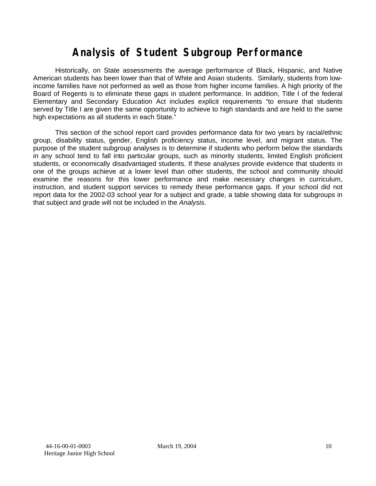# **Analysis of Student Subgroup Performance**

Historically, on State assessments the average performance of Black, Hispanic, and Native American students has been lower than that of White and Asian students. Similarly, students from lowincome families have not performed as well as those from higher income families. A high priority of the Board of Regents is to eliminate these gaps in student performance. In addition, Title I of the federal Elementary and Secondary Education Act includes explicit requirements "to ensure that students served by Title I are given the same opportunity to achieve to high standards and are held to the same high expectations as all students in each State."

This section of the school report card provides performance data for two years by racial/ethnic group, disability status, gender, English proficiency status, income level, and migrant status. The purpose of the student subgroup analyses is to determine if students who perform below the standards in any school tend to fall into particular groups, such as minority students, limited English proficient students, or economically disadvantaged students. If these analyses provide evidence that students in one of the groups achieve at a lower level than other students, the school and community should examine the reasons for this lower performance and make necessary changes in curriculum, instruction, and student support services to remedy these performance gaps. If your school did not report data for the 2002-03 school year for a subject and grade, a table showing data for subgroups in that subject and grade will not be included in the *Analysis*.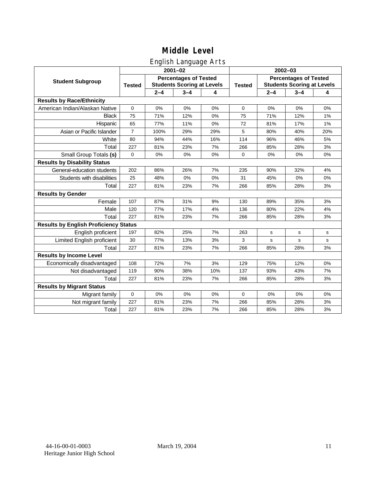## English Language Arts

|                                              |                |         | ັ<br>$2001 - 02$                                                  |     | 2002-03       |             |                                                                   |     |  |
|----------------------------------------------|----------------|---------|-------------------------------------------------------------------|-----|---------------|-------------|-------------------------------------------------------------------|-----|--|
| <b>Student Subgroup</b>                      | <b>Tested</b>  |         | <b>Percentages of Tested</b><br><b>Students Scoring at Levels</b> |     | <b>Tested</b> |             | <b>Percentages of Tested</b><br><b>Students Scoring at Levels</b> |     |  |
|                                              |                | $2 - 4$ | $3 - 4$                                                           | 4   |               | $2 - 4$     | $3 - 4$                                                           | 4   |  |
| <b>Results by Race/Ethnicity</b>             |                |         |                                                                   |     |               |             |                                                                   |     |  |
| American Indian/Alaskan Native               | $\mathbf 0$    | 0%      | 0%                                                                | 0%  | $\mathbf 0$   | 0%          | 0%                                                                | 0%  |  |
| <b>Black</b>                                 | 75             | 71%     | 12%                                                               | 0%  | 75            | 71%         | 12%                                                               | 1%  |  |
| Hispanic                                     | 65             | 77%     | 11%                                                               | 0%  | 72            | 81%         | 17%                                                               | 1%  |  |
| Asian or Pacific Islander                    | $\overline{7}$ | 100%    | 29%                                                               | 29% | 5             | 80%         | 40%                                                               | 20% |  |
| White                                        | 80             | 94%     | 44%                                                               | 16% | 114           | 96%         | 46%                                                               | 5%  |  |
| Total                                        | 227            | 81%     | 23%                                                               | 7%  | 266           | 85%         | 28%                                                               | 3%  |  |
| Small Group Totals (s)                       | $\Omega$       | 0%      | 0%                                                                | 0%  | $\Omega$      | 0%          | 0%                                                                | 0%  |  |
| <b>Results by Disability Status</b>          |                |         |                                                                   |     |               |             |                                                                   |     |  |
| General-education students                   | 202            | 86%     | 26%                                                               | 7%  | 235           | 90%         | 32%                                                               | 4%  |  |
| Students with disabilities                   | 25             | 48%     | 0%                                                                | 0%  | 31            | 45%         | 0%                                                                | 0%  |  |
| Total                                        | 227            | 81%     | 23%                                                               | 7%  | 266           | 85%         | 28%                                                               | 3%  |  |
| <b>Results by Gender</b>                     |                |         |                                                                   |     |               |             |                                                                   |     |  |
| Female                                       | 107            | 87%     | 31%                                                               | 9%  | 130           | 89%         | 35%                                                               | 3%  |  |
| Male                                         | 120            | 77%     | 17%                                                               | 4%  | 136           | 80%         | 22%                                                               | 4%  |  |
| Total                                        | 227            | 81%     | 23%                                                               | 7%  | 266           | 85%         | 28%                                                               | 3%  |  |
| <b>Results by English Proficiency Status</b> |                |         |                                                                   |     |               |             |                                                                   |     |  |
| English proficient                           | 197            | 82%     | 25%                                                               | 7%  | 263           | s           | s                                                                 | s   |  |
| Limited English proficient                   | 30             | 77%     | 13%                                                               | 3%  | 3             | $\mathbf s$ | s                                                                 | s   |  |
| Total                                        | 227            | 81%     | 23%                                                               | 7%  | 266           | 85%         | 28%                                                               | 3%  |  |
| <b>Results by Income Level</b>               |                |         |                                                                   |     |               |             |                                                                   |     |  |
| Economically disadvantaged                   | 108            | 72%     | 7%                                                                | 3%  | 129           | 75%         | 12%                                                               | 0%  |  |
| Not disadvantaged                            | 119            | 90%     | 38%                                                               | 10% | 137           | 93%         | 43%                                                               | 7%  |  |
| Total                                        | 227            | 81%     | 23%                                                               | 7%  | 266           | 85%         | 28%                                                               | 3%  |  |
| <b>Results by Migrant Status</b>             |                |         |                                                                   |     |               |             |                                                                   |     |  |
| Migrant family                               | $\mathbf 0$    | 0%      | 0%                                                                | 0%  | 0             | 0%          | 0%                                                                | 0%  |  |
| Not migrant family                           | 227            | 81%     | 23%                                                               | 7%  | 266           | 85%         | 28%                                                               | 3%  |  |
| Total                                        | 227            | 81%     | 23%                                                               | 7%  | 266           | 85%         | 28%                                                               | 3%  |  |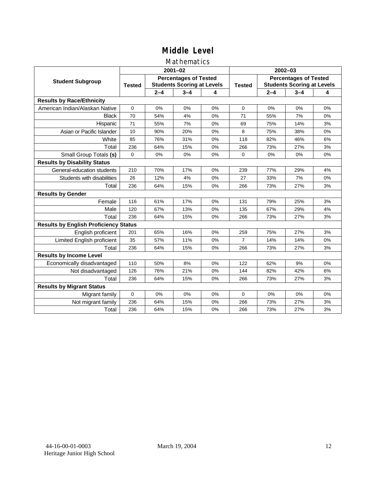### Mathematics

|                                              |               |         | $2001 - 02$                                                       |    | $2002 - 03$    |                                                                   |         |    |
|----------------------------------------------|---------------|---------|-------------------------------------------------------------------|----|----------------|-------------------------------------------------------------------|---------|----|
| <b>Student Subgroup</b>                      | <b>Tested</b> |         | <b>Percentages of Tested</b><br><b>Students Scoring at Levels</b> |    | <b>Tested</b>  | <b>Percentages of Tested</b><br><b>Students Scoring at Levels</b> |         |    |
|                                              |               | $2 - 4$ | $3 - 4$                                                           | 4  |                | $2 - 4$                                                           | $3 - 4$ | 4  |
| <b>Results by Race/Ethnicity</b>             |               |         |                                                                   |    |                |                                                                   |         |    |
| American Indian/Alaskan Native               | $\Omega$      | 0%      | 0%                                                                | 0% | $\Omega$       | 0%                                                                | 0%      | 0% |
| <b>Black</b>                                 | 70            | 54%     | 4%                                                                | 0% | 71             | 55%                                                               | 7%      | 0% |
| Hispanic                                     | 71            | 55%     | 7%                                                                | 0% | 69             | 75%                                                               | 14%     | 3% |
| Asian or Pacific Islander                    | 10            | 90%     | 20%                                                               | 0% | 8              | 75%                                                               | 38%     | 0% |
| White                                        | 85            | 76%     | 31%                                                               | 0% | 118            | 82%                                                               | 46%     | 6% |
| Total                                        | 236           | 64%     | 15%                                                               | 0% | 266            | 73%                                                               | 27%     | 3% |
| Small Group Totals (s)                       | 0             | 0%      | 0%                                                                | 0% | $\Omega$       | 0%                                                                | 0%      | 0% |
| <b>Results by Disability Status</b>          |               |         |                                                                   |    |                |                                                                   |         |    |
| General-education students                   | 210           | 70%     | 17%                                                               | 0% | 239            | 77%                                                               | 29%     | 4% |
| Students with disabilities                   | 26            | 12%     | 4%                                                                | 0% | 27             | 33%                                                               | 7%      | 0% |
| Total                                        | 236           | 64%     | 15%                                                               | 0% | 266            | 73%                                                               | 27%     | 3% |
| <b>Results by Gender</b>                     |               |         |                                                                   |    |                |                                                                   |         |    |
| Female                                       | 116           | 61%     | 17%                                                               | 0% | 131            | 79%                                                               | 25%     | 3% |
| Male                                         | 120           | 67%     | 13%                                                               | 0% | 135            | 67%                                                               | 29%     | 4% |
| Total                                        | 236           | 64%     | 15%                                                               | 0% | 266            | 73%                                                               | 27%     | 3% |
| <b>Results by English Proficiency Status</b> |               |         |                                                                   |    |                |                                                                   |         |    |
| English proficient                           | 201           | 65%     | 16%                                                               | 0% | 259            | 75%                                                               | 27%     | 3% |
| Limited English proficient                   | 35            | 57%     | 11%                                                               | 0% | $\overline{7}$ | 14%                                                               | 14%     | 0% |
| Total                                        | 236           | 64%     | 15%                                                               | 0% | 266            | 73%                                                               | 27%     | 3% |
| <b>Results by Income Level</b>               |               |         |                                                                   |    |                |                                                                   |         |    |
| Economically disadvantaged                   | 110           | 50%     | 8%                                                                | 0% | 122            | 62%                                                               | 9%      | 0% |
| Not disadvantaged                            | 126           | 76%     | 21%                                                               | 0% | 144            | 82%                                                               | 42%     | 6% |
| Total                                        | 236           | 64%     | 15%                                                               | 0% | 266            | 73%                                                               | 27%     | 3% |
| <b>Results by Migrant Status</b>             |               |         |                                                                   |    |                |                                                                   |         |    |
| Migrant family                               | 0             | 0%      | 0%                                                                | 0% | $\Omega$       | 0%                                                                | 0%      | 0% |
| Not migrant family                           | 236           | 64%     | 15%                                                               | 0% | 266            | 73%                                                               | 27%     | 3% |
| Total                                        | 236           | 64%     | 15%                                                               | 0% | 266            | 73%                                                               | 27%     | 3% |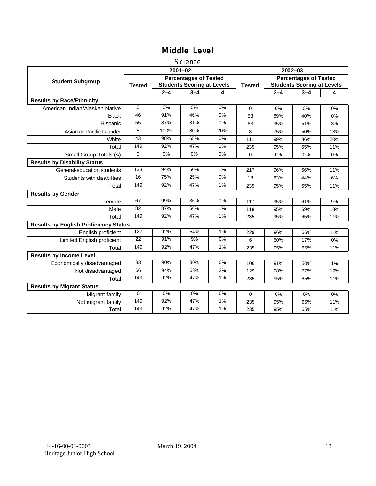### Science

|                                              |                 |         | $2001 - 02$                                                       |       |               | $2002 - 03$                                                       |         |     |  |
|----------------------------------------------|-----------------|---------|-------------------------------------------------------------------|-------|---------------|-------------------------------------------------------------------|---------|-----|--|
| <b>Student Subgroup</b>                      | <b>Tested</b>   |         | <b>Percentages of Tested</b><br><b>Students Scoring at Levels</b> |       | <b>Tested</b> | <b>Percentages of Tested</b><br><b>Students Scoring at Levels</b> |         |     |  |
|                                              |                 | $2 - 4$ | $3 - 4$                                                           | 4     |               | $2 - 4$                                                           | $3 - 4$ | 4   |  |
| <b>Results by Race/Ethnicity</b>             |                 |         |                                                                   |       |               |                                                                   |         |     |  |
| American Indian/Alaskan Native               | $\Omega$        | 0%      | 0%                                                                | 0%    | $\Omega$      | 0%                                                                | 0%      | 0%  |  |
| <b>Black</b>                                 | 46              | 91%     | 46%                                                               | 0%    | 53            | 89%                                                               | 40%     | 0%  |  |
| Hispanic                                     | 55              | 87%     | 31%                                                               | 0%    | 63            | 95%                                                               | 51%     | 3%  |  |
| Asian or Pacific Islander                    | 5               | 100%    | 80%                                                               | 20%   | 8             | 75%                                                               | 50%     | 13% |  |
| White                                        | 43              | 98%     | 65%                                                               | $0\%$ | 111           | 99%                                                               | 86%     | 20% |  |
| Total                                        | 149             | 92%     | 47%                                                               | 1%    | 235           | 95%                                                               | 65%     | 11% |  |
| Small Group Totals (s)                       | 0               | 0%      | 0%                                                                | 0%    | 0             | 0%                                                                | 0%      | 0%  |  |
| <b>Results by Disability Status</b>          |                 |         |                                                                   |       |               |                                                                   |         |     |  |
| General-education students                   | 133             | 94%     | 50%                                                               | 1%    | 217           | 96%                                                               | 66%     | 11% |  |
| Students with disabilities                   | 16              | 75%     | 25%                                                               | $0\%$ | 18            | 83%                                                               | 44%     | 6%  |  |
| Total                                        | 149             | 92%     | 47%                                                               | 1%    | 235           | 95%                                                               | 65%     | 11% |  |
| <b>Results by Gender</b>                     |                 |         |                                                                   |       |               |                                                                   |         |     |  |
| Female                                       | 67              | 99%     | 36%                                                               | $0\%$ | 117           | 95%                                                               | 61%     | 9%  |  |
| Male                                         | 82              | 87%     | 56%                                                               | $1\%$ | 118           | 95%                                                               | 69%     | 13% |  |
| Total                                        | 149             | 92%     | 47%                                                               | 1%    | 235           | 95%                                                               | 65%     | 11% |  |
| <b>Results by English Proficiency Status</b> |                 |         |                                                                   |       |               |                                                                   |         |     |  |
| English proficient                           | 127             | 92%     | 54%                                                               | 1%    | 229           | 96%                                                               | 66%     | 11% |  |
| <b>Limited English proficient</b>            | $\overline{22}$ | 91%     | 9%                                                                | $0\%$ | 6             | 50%                                                               | 17%     | 0%  |  |
| Total                                        | 149             | 92%     | 47%                                                               | 1%    | 235           | 95%                                                               | 65%     | 11% |  |
| <b>Results by Income Level</b>               |                 |         |                                                                   |       |               |                                                                   |         |     |  |
| Economically disadvantaged                   | 83              | 90%     | 30%                                                               | 0%    | 106           | 91%                                                               | 50%     | 1%  |  |
| Not disadvantaged                            | 66              | 94%     | 68%                                                               | 2%    | 129           | 98%                                                               | 77%     | 19% |  |
| Total                                        | 149             | 92%     | 47%                                                               | 1%    | 235           | 95%                                                               | 65%     | 11% |  |
| <b>Results by Migrant Status</b>             |                 |         |                                                                   |       |               |                                                                   |         |     |  |
| Migrant family                               | 0               | 0%      | 0%                                                                | 0%    | 0             | $0\%$                                                             | 0%      | 0%  |  |
| Not migrant family                           | 149             | 92%     | 47%                                                               | 1%    | 235           | 95%                                                               | 65%     | 11% |  |
| Total                                        | 149             | 92%     | 47%                                                               | 1%    | 235           | 95%                                                               | 65%     | 11% |  |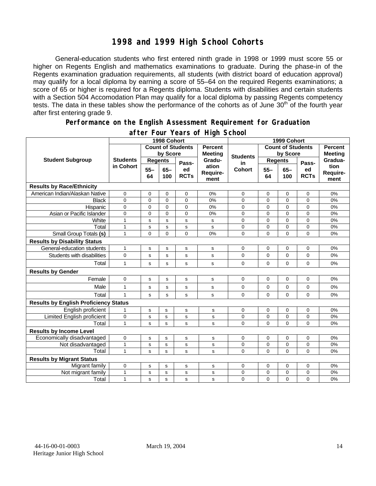## **1998 and 1999 High School Cohorts**

General-education students who first entered ninth grade in 1998 or 1999 must score 55 or higher on Regents English and mathematics examinations to graduate. During the phase-in of the Regents examination graduation requirements, all students (with district board of education approval) may qualify for a local diploma by earning a score of 55–64 on the required Regents examinations; a score of 65 or higher is required for a Regents diploma. Students with disabilities and certain students with a Section 504 Accomodation Plan may qualify for a local diploma by passing Regents competency tests. The data in these tables show the performance of the cohorts as of June 30<sup>th</sup> of the fourth year after first entering grade 9.

#### **Performance on the English Assessment Requirement for Graduation**

|                                              |                 |                | 1998 Cohort    |                          |                           |                 |                | 1999 Cohort              |                                                                                                                                                                                                                                                           |                                                          |
|----------------------------------------------|-----------------|----------------|----------------|--------------------------|---------------------------|-----------------|----------------|--------------------------|-----------------------------------------------------------------------------------------------------------------------------------------------------------------------------------------------------------------------------------------------------------|----------------------------------------------------------|
|                                              |                 |                |                | <b>Count of Students</b> | <b>Percent</b>            |                 |                | <b>Count of Students</b> | <b>Percent</b><br><b>Meeting</b><br>Gradua-<br>Pass-<br>tion<br>ed<br>Require-<br><b>RCTs</b><br>ment<br>$\mathbf 0$<br>0%<br>$\overline{0}$<br>0%<br>0%<br>0<br>0%<br>$\overline{0}$<br>0%<br>0<br>0<br>0%<br>$\overline{0}$<br>0%<br>0<br>0%<br>0<br>0% |                                                          |
|                                              |                 |                | by Score       |                          | <b>Meeting</b>            | <b>Students</b> |                | by Score                 |                                                                                                                                                                                                                                                           | 0%<br>0%<br>0%<br>0%<br>0%<br>0%<br>0%<br>0%<br>0%<br>0% |
| <b>Student Subgroup</b>                      | <b>Students</b> | <b>Regents</b> |                | Pass-                    | Gradu-                    | in              | <b>Regents</b> |                          |                                                                                                                                                                                                                                                           |                                                          |
|                                              | in Cohort       | $55 -$<br>64   | $65 -$<br>100  | ed<br><b>RCTs</b>        | ation<br>Require-<br>ment | <b>Cohort</b>   | $55 -$<br>64   | $65 -$<br>100            |                                                                                                                                                                                                                                                           |                                                          |
| <b>Results by Race/Ethnicity</b>             |                 |                |                |                          |                           |                 |                |                          |                                                                                                                                                                                                                                                           |                                                          |
| American Indian/Alaskan Native               | 0               | 0              | $\mathbf 0$    | $\mathbf 0$              | 0%                        | 0               | 0              | 0                        |                                                                                                                                                                                                                                                           |                                                          |
| <b>Black</b>                                 | $\Omega$        | $\Omega$       | $\Omega$       | $\Omega$                 | 0%                        | $\Omega$        | $\Omega$       | $\overline{0}$           |                                                                                                                                                                                                                                                           |                                                          |
| Hispanic                                     | 0               | 0              | $\mathbf 0$    | $\mathbf 0$              | 0%                        | 0               | 0              | $\Omega$                 |                                                                                                                                                                                                                                                           |                                                          |
| Asian or Pacific Islander                    | $\mathbf 0$     | 0              | $\Omega$       | $\Omega$                 | 0%                        | 0               | $\overline{0}$ | $\Omega$                 |                                                                                                                                                                                                                                                           |                                                          |
| White                                        | $\overline{1}$  | s              | $\mathbf s$    | $\mathbf s$              | s                         | 0               | $\mathbf 0$    | 0                        |                                                                                                                                                                                                                                                           |                                                          |
| Total                                        | $\mathbf{1}$    | s              | $\mathbf s$    | $\mathbf s$              | s                         | 0               | $\mathbf 0$    | 0                        |                                                                                                                                                                                                                                                           |                                                          |
| Small Group Totals (s)                       | $\mathbf{1}$    | $\Omega$       | $\overline{0}$ | $\Omega$                 | 0%                        | 0               | $\overline{0}$ | 0                        |                                                                                                                                                                                                                                                           |                                                          |
| <b>Results by Disability Status</b>          |                 |                |                |                          |                           |                 |                |                          |                                                                                                                                                                                                                                                           |                                                          |
| General-education students                   | $\mathbf{1}$    | s              | s              | s                        | s                         | 0               | $\mathbf 0$    | 0                        |                                                                                                                                                                                                                                                           |                                                          |
| Students with disabilities                   | $\mathbf 0$     | s              | s              | s                        | s                         | 0               | $\mathbf 0$    | 0                        |                                                                                                                                                                                                                                                           |                                                          |
| Total                                        | 1               | s              | s              | s                        | s                         | 0               | $\mathbf 0$    | 0                        | 0                                                                                                                                                                                                                                                         |                                                          |
| <b>Results by Gender</b>                     |                 |                |                |                          |                           |                 |                |                          |                                                                                                                                                                                                                                                           |                                                          |
| Female                                       | 0               | s              | s              | s                        | s                         | $\mathbf 0$     | $\mathbf 0$    | $\Omega$                 | $\mathbf 0$                                                                                                                                                                                                                                               |                                                          |
| Male                                         | 1               | s              | s              | s                        | s                         | 0               | $\mathbf 0$    | 0                        | $\Omega$                                                                                                                                                                                                                                                  |                                                          |
| Total                                        | $\mathbf{1}$    | s              | s              | s                        | s                         | 0               | $\Omega$       | $\Omega$                 | 0                                                                                                                                                                                                                                                         |                                                          |
| <b>Results by English Proficiency Status</b> |                 |                |                |                          |                           |                 |                |                          |                                                                                                                                                                                                                                                           |                                                          |
| English proficient                           | 1               | s              | s              | s                        | s                         | 0               | 0              | 0                        | $\mathbf 0$                                                                                                                                                                                                                                               |                                                          |
| Limited English proficient                   | 0               | s              | s              | $\mathbf s$              | s                         | 0               | $\mathbf 0$    | 0                        | 0                                                                                                                                                                                                                                                         |                                                          |
| Total                                        | 1               | s              | s              | s                        | s                         | $\Omega$        | $\Omega$       | 0                        | $\Omega$                                                                                                                                                                                                                                                  |                                                          |
| <b>Results by Income Level</b>               |                 |                |                |                          |                           |                 |                |                          |                                                                                                                                                                                                                                                           |                                                          |
| Economically disadvantaged                   | $\mathbf 0$     | s              | s              | s                        | $\mathbf s$               | 0               | $\mathbf 0$    | 0                        | $\mathbf 0$                                                                                                                                                                                                                                               |                                                          |
| Not disadvantaged                            | $\mathbf{1}$    | s              | s              | s                        | s                         | 0               | $\mathbf 0$    | 0                        | 0                                                                                                                                                                                                                                                         |                                                          |
| Total                                        | 1               | s              | s              | s                        | s                         | $\Omega$        | $\overline{0}$ | $\Omega$                 | $\Omega$                                                                                                                                                                                                                                                  |                                                          |
| <b>Results by Migrant Status</b>             |                 |                |                |                          |                           |                 |                |                          |                                                                                                                                                                                                                                                           |                                                          |
| Migrant family                               | 0               | s              | s              | $\mathbf s$              | s                         | $\mathbf 0$     | 0              | 0                        | $\mathbf 0$                                                                                                                                                                                                                                               | 0%                                                       |
| Not migrant family                           | 1               | s              | s              | s                        | s                         | 0               | 0              | 0                        | $\mathbf 0$                                                                                                                                                                                                                                               | 0%                                                       |
| Total                                        | $\mathbf{1}$    | s              | s              | s                        | s                         | 0               | $\overline{0}$ | $\Omega$                 | $\overline{0}$                                                                                                                                                                                                                                            | 0%                                                       |

### **after Four Years of High School**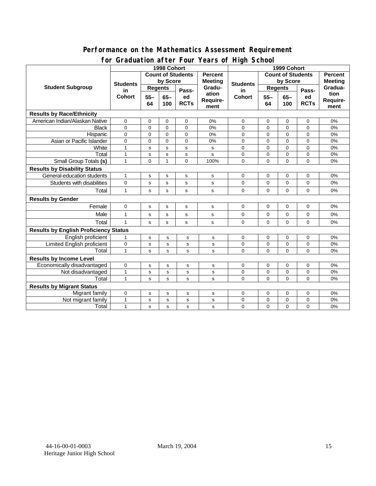### **Performance on the Mathematics Assessment Requirement for Graduation after Four Years of High School**

|                                              | 0. aaaation artor room roors on riigir conoon<br>1998 Cohort |                          |             |             |                   | 1999 Cohort         |                          |             |                            |                |
|----------------------------------------------|--------------------------------------------------------------|--------------------------|-------------|-------------|-------------------|---------------------|--------------------------|-------------|----------------------------|----------------|
| <b>Student Subgroup</b>                      |                                                              | <b>Count of Students</b> |             |             | <b>Percent</b>    |                     | <b>Count of Students</b> |             |                            | <b>Percent</b> |
|                                              | <b>Students</b><br>in<br><b>Cohort</b>                       | by Score                 |             |             | <b>Meeting</b>    |                     | by Score                 |             |                            | <b>Meeting</b> |
|                                              |                                                              | <b>Regents</b>           |             |             | Gradu-            | <b>Students</b>     | <b>Regents</b>           |             |                            | Gradua-        |
|                                              |                                                              | $55 -$                   | $65-$       | Pass-<br>ed | ation<br>Require- | in<br><b>Cohort</b> | $55 -$                   | $65-$       | Pass-<br>ed<br><b>RCTs</b> | tion           |
|                                              |                                                              | 64                       | 100         | <b>RCTs</b> |                   |                     | 64                       | 100         |                            | Require-       |
|                                              |                                                              |                          |             |             | ment              |                     |                          |             |                            | ment           |
| <b>Results by Race/Ethnicity</b>             |                                                              |                          |             |             |                   |                     |                          |             |                            |                |
| American Indian/Alaskan Native               | 0                                                            | 0                        | $\mathbf 0$ | $\mathbf 0$ | 0%                | 0                   | 0                        | 0           | $\mathbf 0$                | 0%             |
| <b>Black</b>                                 | 0                                                            | $\mathbf 0$              | $\mathbf 0$ | 0           | 0%                | 0                   | $\mathbf 0$              | $\mathbf 0$ | 0                          | 0%             |
| Hispanic                                     | $\Omega$                                                     | $\mathbf 0$              | $\Omega$    | $\Omega$    | 0%                | 0                   | $\Omega$                 | $\Omega$    | $\Omega$                   | 0%             |
| Asian or Pacific Islander                    | 0                                                            | $\mathbf 0$              | $\Omega$    | $\Omega$    | 0%                | $\Omega$            | $\Omega$                 | $\Omega$    | $\Omega$                   | 0%             |
| White                                        | $\mathbf{1}$                                                 | s                        | s           | s           | s                 | $\Omega$            | $\Omega$                 | $\Omega$    | 0                          | 0%             |
| Total                                        | 1                                                            | s                        | s           | s           | s                 | 0                   | $\mathbf 0$              | 0           | 0                          | 0%             |
| <b>Small Group Totals (s)</b>                | $\mathbf{1}$                                                 | 0                        | 1           | $\Omega$    | 100%              | 0                   | $\mathbf 0$              | $\mathbf 0$ | 0                          | 0%             |
| <b>Results by Disability Status</b>          |                                                              |                          |             |             |                   |                     |                          |             |                            |                |
| General-education students                   | $\mathbf{1}$                                                 | s                        | $\mathbf s$ | s           | s                 | 0                   | 0                        | 0           | 0                          | 0%             |
| Students with disabilities                   | 0                                                            | $\mathbf s$              | s           | s           | s                 | 0                   | $\mathbf 0$              | 0           | 0                          | 0%             |
| Total                                        | $\mathbf{1}$                                                 | s                        | s           | s           | s                 | $\Omega$            | $\Omega$                 | $\Omega$    | $\Omega$                   | 0%             |
| <b>Results by Gender</b>                     |                                                              |                          |             |             |                   |                     |                          |             |                            |                |
| Female                                       | $\mathbf 0$                                                  | s                        | s           | s           | s                 | $\mathbf 0$         | $\mathbf 0$              | $\mathbf 0$ | $\mathbf 0$                | 0%             |
| Male                                         | $\mathbf{1}$                                                 | $\mathbf s$              | $\mathbf s$ | s           | s                 | 0                   | $\mathbf 0$              | $\mathbf 0$ | 0                          | 0%             |
| Total                                        | $\mathbf{1}$                                                 | s                        | s           | s           | s                 | $\mathbf 0$         | $\Omega$                 | $\mathbf 0$ | 0                          | 0%             |
| <b>Results by English Proficiency Status</b> |                                                              |                          |             |             |                   |                     |                          |             |                            |                |
| English proficient                           | 1                                                            | s                        | s           | s           | s                 | 0                   | 0                        | 0           | $\mathbf 0$                | 0%             |
| <b>Limited English proficient</b>            | 0                                                            | $\mathbf s$              | s           | s           | s                 | 0                   | 0                        | $\mathbf 0$ | 0                          | 0%             |
| Total                                        | $\mathbf{1}$                                                 | s                        | s           | s           | s                 | $\Omega$            | $\Omega$                 | $\Omega$    | $\Omega$                   | 0%             |
| <b>Results by Income Level</b>               |                                                              |                          |             |             |                   |                     |                          |             |                            |                |
| Economically disadvantaged                   | 0                                                            | s                        | s           | s           | s                 | 0                   | 0                        | 0           | 0                          | 0%             |
| Not disadvantaged                            | $\mathbf{1}$                                                 | s                        | s           | s           | $\mathbf S$       | 0                   | 0                        | 0           | 0                          | 0%             |
| Total                                        | $\mathbf{1}$                                                 | s                        | s           | s           | s                 | 0                   | $\mathbf 0$              | $\mathbf 0$ | 0                          | 0%             |
| <b>Results by Migrant Status</b>             |                                                              |                          |             |             |                   |                     |                          |             |                            |                |
| Migrant family                               | 0                                                            | s                        | s           | s           | s                 | 0                   | 0                        | 0           | 0                          | 0%             |
| Not migrant family                           | $\mathbf{1}$                                                 | s                        | s           | s           | s                 | 0                   | 0                        | 0           | 0                          | 0%             |
| Total                                        | $\mathbf{1}$                                                 | $\mathbf s$              | s           | s           | s                 | 0                   | $\mathbf 0$              | $\mathbf 0$ | 0                          | 0%             |